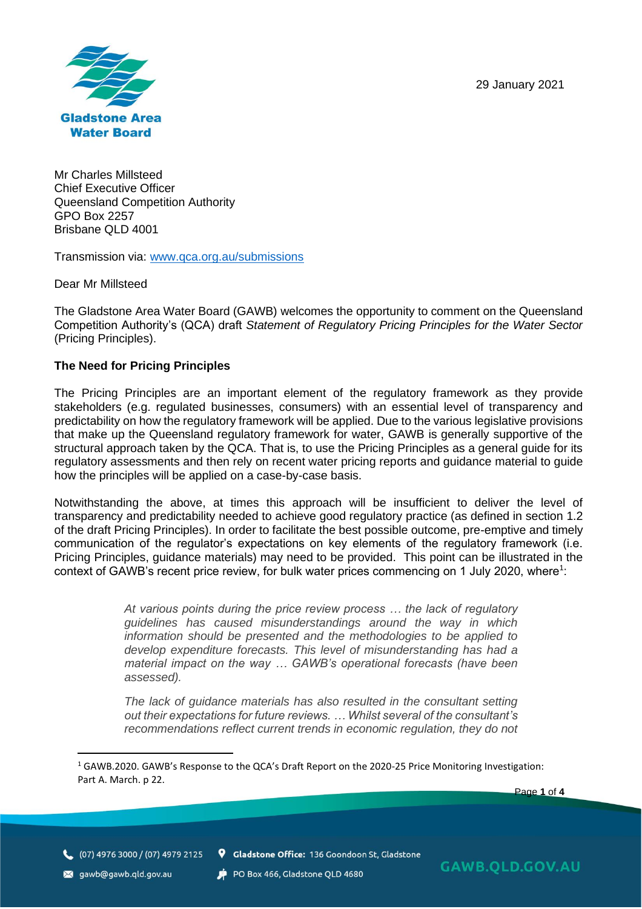29 January 2021



Mr Charles Millsteed Chief Executive Officer Queensland Competition Authority GPO Box 2257 Brisbane QLD 4001

Transmission via: [www.qca.org.au/submissions](http://www.qca.org.au/submissions)

Dear Mr Millsteed

The Gladstone Area Water Board (GAWB) welcomes the opportunity to comment on the Queensland Competition Authority's (QCA) draft *Statement of Regulatory Pricing Principles for the Water Sector* (Pricing Principles).

### **The Need for Pricing Principles**

The Pricing Principles are an important element of the regulatory framework as they provide stakeholders (e.g. regulated businesses, consumers) with an essential level of transparency and predictability on how the regulatory framework will be applied. Due to the various legislative provisions that make up the Queensland regulatory framework for water, GAWB is generally supportive of the structural approach taken by the QCA. That is, to use the Pricing Principles as a general guide for its regulatory assessments and then rely on recent water pricing reports and guidance material to guide how the principles will be applied on a case-by-case basis.

Notwithstanding the above, at times this approach will be insufficient to deliver the level of transparency and predictability needed to achieve good regulatory practice (as defined in section 1.2 of the draft Pricing Principles). In order to facilitate the best possible outcome, pre-emptive and timely communication of the regulator's expectations on key elements of the regulatory framework (i.e. Pricing Principles, guidance materials) may need to be provided. This point can be illustrated in the context of GAWB's recent price review, for bulk water prices commencing on 1 July 2020, where<sup>1</sup>:

> *At various points during the price review process … the lack of regulatory guidelines has caused misunderstandings around the way in which information should be presented and the methodologies to be applied to develop expenditure forecasts. This level of misunderstanding has had a material impact on the way … GAWB's operational forecasts (have been assessed).*

> *The lack of guidance materials has also resulted in the consultant setting out their expectations for future reviews. … Whilst several of the consultant's recommendations reflect current trends in economic regulation, they do not*

Page **1** of **4**

(07) 4976 3000 / (07) 4979 2125 <br>
9 Gladstone Office: 136 Goondoon St, Gladstone

sawb@gawb.qld.gov.au

PO Box 466, Gladstone QLD 4680

<sup>1</sup> GAWB.2020. GAWB's Response to the QCA's Draft Report on the 2020-25 Price Monitoring Investigation: Part A. March. p 22.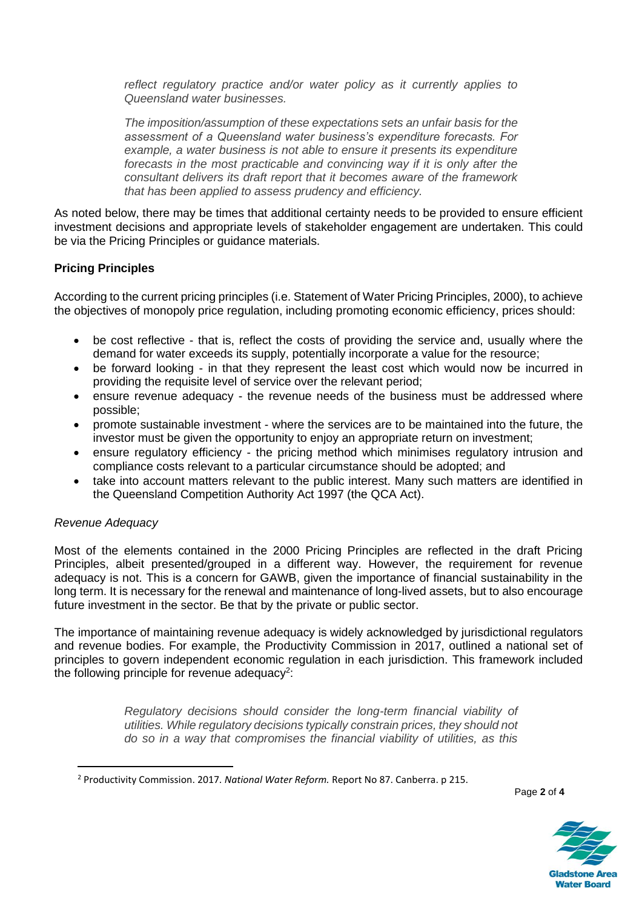*reflect regulatory practice and/or water policy as it currently applies to Queensland water businesses.*

*The imposition/assumption of these expectations sets an unfair basis for the assessment of a Queensland water business's expenditure forecasts. For example, a water business is not able to ensure it presents its expenditure forecasts in the most practicable and convincing way if it is only after the consultant delivers its draft report that it becomes aware of the framework that has been applied to assess prudency and efficiency.*

As noted below, there may be times that additional certainty needs to be provided to ensure efficient investment decisions and appropriate levels of stakeholder engagement are undertaken. This could be via the Pricing Principles or guidance materials.

# **Pricing Principles**

According to the current pricing principles (i.e. Statement of Water Pricing Principles, 2000), to achieve the objectives of monopoly price regulation, including promoting economic efficiency, prices should:

- be cost reflective that is, reflect the costs of providing the service and, usually where the demand for water exceeds its supply, potentially incorporate a value for the resource;
- be forward looking in that they represent the least cost which would now be incurred in providing the requisite level of service over the relevant period;
- ensure revenue adequacy the revenue needs of the business must be addressed where possible;
- promote sustainable investment where the services are to be maintained into the future, the investor must be given the opportunity to enjoy an appropriate return on investment;
- ensure regulatory efficiency the pricing method which minimises regulatory intrusion and compliance costs relevant to a particular circumstance should be adopted; and
- take into account matters relevant to the public interest. Many such matters are identified in the Queensland Competition Authority Act 1997 (the QCA Act).

### *Revenue Adequacy*

Most of the elements contained in the 2000 Pricing Principles are reflected in the draft Pricing Principles, albeit presented/grouped in a different way. However, the requirement for revenue adequacy is not. This is a concern for GAWB, given the importance of financial sustainability in the long term. It is necessary for the renewal and maintenance of long-lived assets, but to also encourage future investment in the sector. Be that by the private or public sector.

The importance of maintaining revenue adequacy is widely acknowledged by jurisdictional regulators and revenue bodies. For example, the Productivity Commission in 2017, outlined a national set of principles to govern independent economic regulation in each jurisdiction. This framework included the following principle for revenue adequacy<sup>2</sup>:

> *Regulatory decisions should consider the long-term financial viability of utilities. While regulatory decisions typically constrain prices, they should not do so in a way that compromises the financial viability of utilities, as this*

Page **2** of **4**



<sup>2</sup> Productivity Commission. 2017. *National Water Reform.* Report No 87. Canberra. p 215.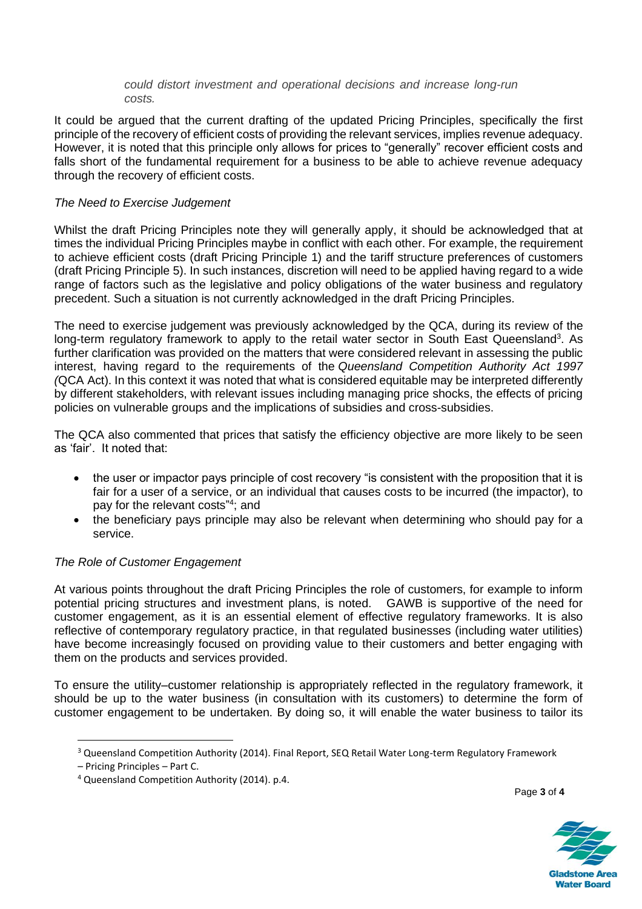#### *could distort investment and operational decisions and increase long-run costs.*

It could be argued that the current drafting of the updated Pricing Principles, specifically the first principle of the recovery of efficient costs of providing the relevant services, implies revenue adequacy. However, it is noted that this principle only allows for prices to "generally" recover efficient costs and falls short of the fundamental requirement for a business to be able to achieve revenue adequacy through the recovery of efficient costs.

## *The Need to Exercise Judgement*

Whilst the draft Pricing Principles note they will generally apply, it should be acknowledged that at times the individual Pricing Principles maybe in conflict with each other. For example, the requirement to achieve efficient costs (draft Pricing Principle 1) and the tariff structure preferences of customers (draft Pricing Principle 5). In such instances, discretion will need to be applied having regard to a wide range of factors such as the legislative and policy obligations of the water business and regulatory precedent. Such a situation is not currently acknowledged in the draft Pricing Principles.

The need to exercise judgement was previously acknowledged by the QCA, during its review of the long-term regulatory framework to apply to the retail water sector in South East Queensland<sup>3</sup>. As further clarification was provided on the matters that were considered relevant in assessing the public interest, having regard to the requirements of the *Queensland Competition Authority Act 1997 (*QCA Act). In this context it was noted that what is considered equitable may be interpreted differently by different stakeholders, with relevant issues including managing price shocks, the effects of pricing policies on vulnerable groups and the implications of subsidies and cross-subsidies.

The QCA also commented that prices that satisfy the efficiency objective are more likely to be seen as 'fair'. It noted that:

- the user or impactor pays principle of cost recovery "is consistent with the proposition that it is fair for a user of a service, or an individual that causes costs to be incurred (the impactor), to pay for the relevant costs"<sup>4</sup>; and
- the beneficiary pays principle may also be relevant when determining who should pay for a service.

## *The Role of Customer Engagement*

At various points throughout the draft Pricing Principles the role of customers, for example to inform potential pricing structures and investment plans, is noted. GAWB is supportive of the need for customer engagement, as it is an essential element of effective regulatory frameworks. It is also reflective of contemporary regulatory practice, in that regulated businesses (including water utilities) have become increasingly focused on providing value to their customers and better engaging with them on the products and services provided.

To ensure the utility–customer relationship is appropriately reflected in the regulatory framework, it should be up to the water business (in consultation with its customers) to determine the form of customer engagement to be undertaken. By doing so, it will enable the water business to tailor its

Page **3** of **4**



<sup>&</sup>lt;sup>3</sup> Queensland Competition Authority (2014). Final Report, SEQ Retail Water Long-term Regulatory Framework

<sup>–</sup> Pricing Principles – Part C.

<sup>4</sup> Queensland Competition Authority (2014). p.4.